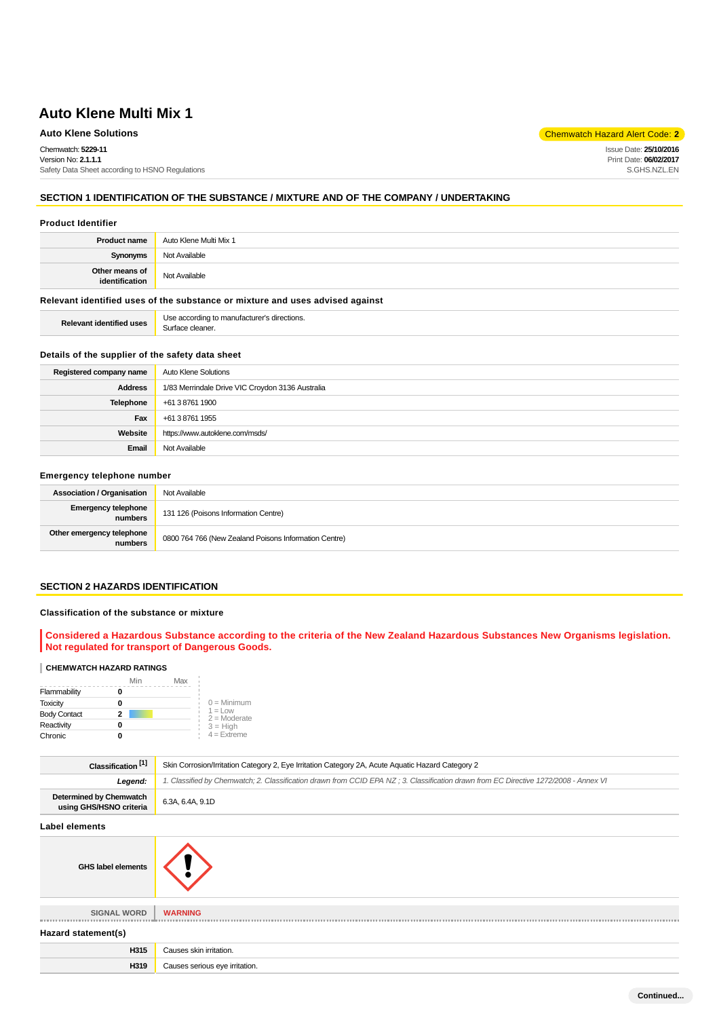## **Auto Klene Solutions** Chemwatch Hazard Alert Code: **2**

Chemwatch: **5229-11**

Version No: **2.1.1.1** Safety Data Sheet according to HSNO Regulations

## **SECTION 1 IDENTIFICATION OF THE SUBSTANCE / MIXTURE AND OF THE COMPANY / UNDERTAKING**

#### **Product Identifier**

| <b>Product name</b>              | Auto Klene Multi Mix 1 |
|----------------------------------|------------------------|
| Synonyms                         | Not Available          |
| Other means of<br>identification | Not Available          |

## **Relevant identified uses of the substance or mixture and uses advised against**

**Relevant identified uses** Use according to manufacturer's directions. Surface cleaner.

#### **Details of the supplier of the safety data sheet**

| Registered company name | <b>Auto Klene Solutions</b>                      |  |
|-------------------------|--------------------------------------------------|--|
| <b>Address</b>          | 1/83 Merrindale Drive VIC Croydon 3136 Australia |  |
| Telephone               | +61 3 8761 1900                                  |  |
| Fax                     | +61 3 8761 1955                                  |  |
| Website                 | https://www.autoklene.com/msds/                  |  |
| Email                   | Not Available                                    |  |

#### **Emergency telephone number**

| <b>Association / Organisation</b>     | Not Available                                         |  |
|---------------------------------------|-------------------------------------------------------|--|
| <b>Emergency telephone</b><br>numbers | 131 126 (Poisons Information Centre)                  |  |
| Other emergency telephone<br>numbers  | 0800 764 766 (New Zealand Poisons Information Centre) |  |

#### **SECTION 2 HAZARDS IDENTIFICATION**

## **Classification of the substance or mixture**

**Considered a Hazardous Substance according to the criteria of the New Zealand Hazardous Substances New Organisms legislation. Not regulated for transport of Dangerous Goods.**

## **CHEMWATCH HAZARD RATINGS**

|                     | Min | Max |                                    |
|---------------------|-----|-----|------------------------------------|
| Flammability        |     |     |                                    |
| <b>Toxicity</b>     |     |     | $0 =$ Minimum                      |
| <b>Body Contact</b> | 2   |     | $1 = 1$ $\Omega$<br>$2 =$ Moderate |
| Reactivity          |     |     | $3 = H$ igh                        |
| Chronic             |     |     | $4$ = Extreme                      |

| Classification <sup>[1]</sup>                             | Skin Corrosion/Irritation Category 2, Eye Irritation Category 2A, Acute Aquatic Hazard Category 2                                    |  |  |
|-----------------------------------------------------------|--------------------------------------------------------------------------------------------------------------------------------------|--|--|
| Legend:                                                   | 1. Classified by Chemwatch; 2. Classification drawn from CCID EPA NZ; 3. Classification drawn from EC Directive 1272/2008 - Annex VI |  |  |
| <b>Determined by Chemwatch</b><br>using GHS/HSNO criteria | 6.3A, 6.4A, 9.1D                                                                                                                     |  |  |
| <b>Label elements</b>                                     |                                                                                                                                      |  |  |
| <b>GHS label elements</b>                                 |                                                                                                                                      |  |  |
| <b>SIGNAL WORD</b>                                        | <b>WARNING</b>                                                                                                                       |  |  |
| Hazard statement(s)                                       |                                                                                                                                      |  |  |
| H315                                                      | Causes skin irritation.                                                                                                              |  |  |
| H319                                                      | Causes serious eye irritation.                                                                                                       |  |  |

Issue Date: **25/10/2016** Print Date: **06/02/2017** S.GHS.NZL.EN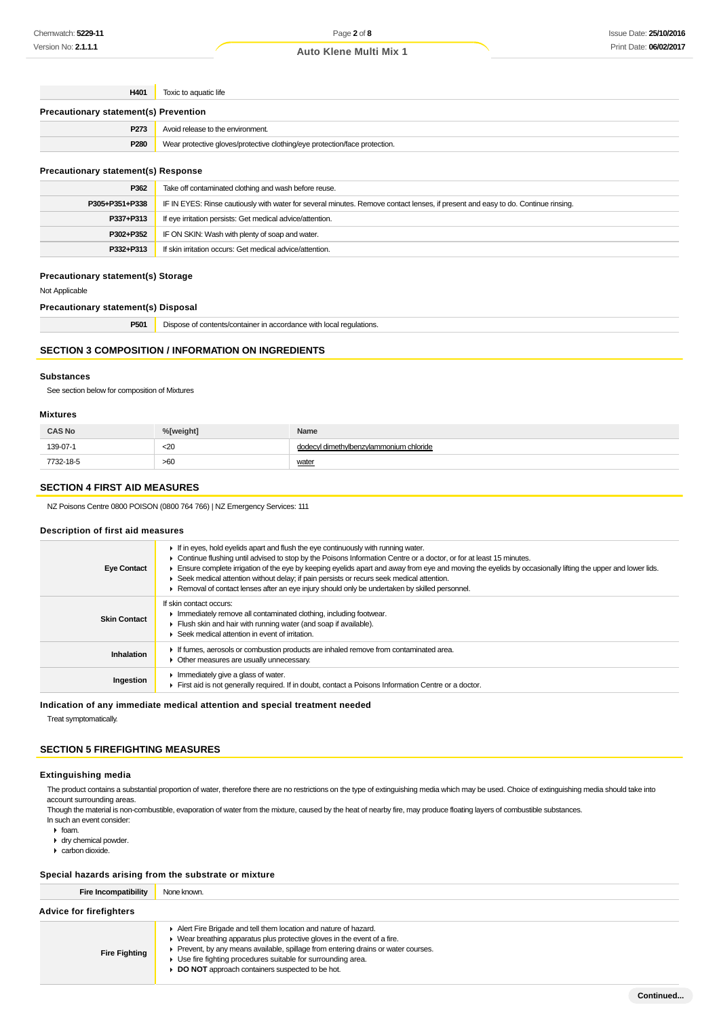| H401                                         | Toxic to aquatic life                                                                                                            |  |  |  |
|----------------------------------------------|----------------------------------------------------------------------------------------------------------------------------------|--|--|--|
| <b>Precautionary statement(s) Prevention</b> |                                                                                                                                  |  |  |  |
| P273                                         | Avoid release to the environment.                                                                                                |  |  |  |
| P280                                         | Wear protective gloves/protective clothing/eye protection/face protection.                                                       |  |  |  |
| <b>Precautionary statement(s) Response</b>   |                                                                                                                                  |  |  |  |
| P362                                         | Take off contaminated clothing and wash before reuse.                                                                            |  |  |  |
| P305+P351+P338                               | IF IN EYES: Rinse cautiously with water for several minutes. Remove contact lenses, if present and easy to do. Continue rinsing. |  |  |  |

| P337+P313 | If eye irritation persists: Get medical advice/attention. |  |  |
|-----------|-----------------------------------------------------------|--|--|
| P302+P352 | IF ON SKIN: Wash with plenty of soap and water.           |  |  |
| P332+P313 | If skin irritation occurs: Get medical advice/attention.  |  |  |
|           |                                                           |  |  |

## **Precautionary statement(s) Storage**

Not Applicable

**Precautionary statement(s) Disposal**

| DE <sub>0</sub><br>roui | $\overline{\phantom{a}}$<br>Dispose<br><sup>1</sup> regulations.<br>ומחור<br>* contents.<br>. VVILI I IL <i>I</i> L <i>I</i><br>. |
|-------------------------|-----------------------------------------------------------------------------------------------------------------------------------|
|                         |                                                                                                                                   |

## **SECTION 3 COMPOSITION / INFORMATION ON INGREDIENTS**

### **Substances**

See section below for composition of Mixtures

#### **Mixtures**

| <b>CAS No</b> | %[weight] | Name                                       |
|---------------|-----------|--------------------------------------------|
| 139-07-1      | $20$      | cyl dimethylbenzylammonium chloride<br>dod |
| 7732-18-5     | >60       | water                                      |

#### **SECTION 4 FIRST AID MEASURES**

NZ Poisons Centre 0800 POISON (0800 764 766) | NZ Emergency Services: 111

#### **Description of first aid measures**

| <b>Eye Contact</b>  | $\blacktriangleright$ If in eyes, hold eyelids apart and flush the eye continuously with running water.<br>► Continue flushing until advised to stop by the Poisons Information Centre or a doctor, or for at least 15 minutes.<br>Ensure complete irrigation of the eye by keeping eyelids apart and away from eye and moving the eyelids by occasionally lifting the upper and lower lids.<br>► Seek medical attention without delay; if pain persists or recurs seek medical attention.<br>▶ Removal of contact lenses after an eye injury should only be undertaken by skilled personnel. |
|---------------------|-----------------------------------------------------------------------------------------------------------------------------------------------------------------------------------------------------------------------------------------------------------------------------------------------------------------------------------------------------------------------------------------------------------------------------------------------------------------------------------------------------------------------------------------------------------------------------------------------|
| <b>Skin Contact</b> | If skin contact occurs:<br>Immediately remove all contaminated clothing, including footwear.<br>Flush skin and hair with running water (and soap if available).<br>▶ Seek medical attention in event of irritation.                                                                                                                                                                                                                                                                                                                                                                           |
| <b>Inhalation</b>   | If fumes, aerosols or combustion products are inhaled remove from contaminated area.<br>• Other measures are usually unnecessary.                                                                                                                                                                                                                                                                                                                                                                                                                                                             |
| Ingestion           | Immediately give a glass of water.<br>First aid is not generally required. If in doubt, contact a Poisons Information Centre or a doctor.                                                                                                                                                                                                                                                                                                                                                                                                                                                     |

**Indication of any immediate medical attention and special treatment needed**

Treat symptomatically.

### **SECTION 5 FIREFIGHTING MEASURES**

#### **Extinguishing media**

The product contains a substantial proportion of water, therefore there are no restrictions on the type of extinguishing media which may be used. Choice of extinguishing media should take into account surrounding areas.

Though the material is non-combustible, evaporation of water from the mixture, caused by the heat of nearby fire, may produce floating layers of combustible substances. In such an event consider:

- $\triangleright$  foam.
- dry chemical powder.
- carbon dioxide.

#### **Special hazards arising from the substrate or mixture**

| Fire Incompatibility           | None known.                                                                                   |  |  |
|--------------------------------|-----------------------------------------------------------------------------------------------|--|--|
| <b>Advice for firefighters</b> |                                                                                               |  |  |
|                                | Alert Fire Brigade and tell them location and nature of hazard.                               |  |  |
|                                | $\blacktriangleright$ Wear breathing apparatus plus protective gloves in the event of a fire. |  |  |
| <b>Fire Fighting</b>           | Prevent, by any means available, spillage from entering drains or water courses.              |  |  |
|                                | • Use fire fighting procedures suitable for surrounding area.                                 |  |  |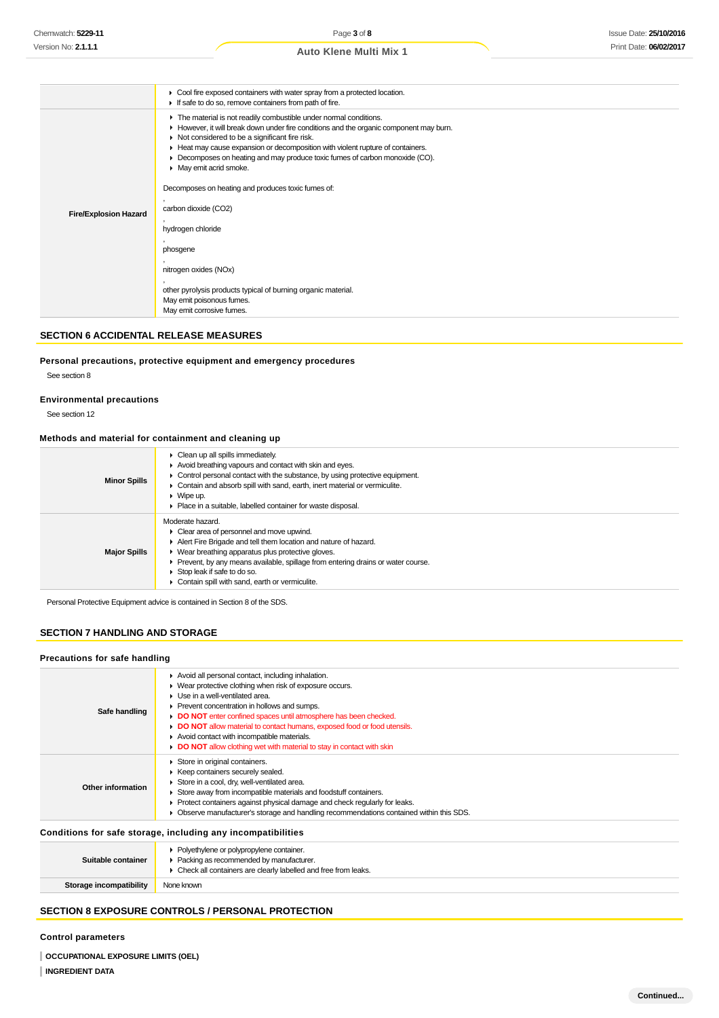## Issue Date: **25/10/2016** Print Date: **06/02/2017**

| <b>Fire/Explosion Hazard</b> |
|------------------------------|

#### **SECTION 6 ACCIDENTAL RELEASE MEASURES**

**Personal precautions, protective equipment and emergency procedures**

## See section 8

### **Environmental precautions**

See section 12

#### **Methods and material for containment and cleaning up**

| <b>Minor Spills</b> | $\triangleright$ Clean up all spills immediately.<br>Avoid breathing vapours and contact with skin and eyes.<br>• Control personal contact with the substance, by using protective equipment.<br>• Contain and absorb spill with sand, earth, inert material or vermiculite.<br>$\blacktriangleright$ Wipe up.<br>• Place in a suitable, labelled container for waste disposal. |
|---------------------|---------------------------------------------------------------------------------------------------------------------------------------------------------------------------------------------------------------------------------------------------------------------------------------------------------------------------------------------------------------------------------|
| <b>Major Spills</b> | Moderate hazard.<br>• Clear area of personnel and move upwind.<br>Alert Fire Brigade and tell them location and nature of hazard.<br>• Wear breathing apparatus plus protective gloves.<br>▶ Prevent, by any means available, spillage from entering drains or water course.<br>Stop leak if safe to do so.<br>Contain spill with sand, earth or vermiculite.                   |

Personal Protective Equipment advice is contained in Section 8 of the SDS.

## **SECTION 7 HANDLING AND STORAGE**

#### **Precautions for safe handling**

| Safe handling      | Avoid all personal contact, including inhalation.<br>▶ Wear protective clothing when risk of exposure occurs.<br>$\blacktriangleright$ Use in a well-ventilated area.<br>▶ Prevent concentration in hollows and sumps.<br>DO NOT enter confined spaces until atmosphere has been checked.<br>• DO NOT allow material to contact humans, exposed food or food utensils.<br>Avoid contact with incompatible materials.<br>DO NOT allow clothing wet with material to stay in contact with skin |
|--------------------|----------------------------------------------------------------------------------------------------------------------------------------------------------------------------------------------------------------------------------------------------------------------------------------------------------------------------------------------------------------------------------------------------------------------------------------------------------------------------------------------|
| Other information  | Store in original containers.<br>▶ Keep containers securely sealed.<br>Store in a cool, dry, well-ventilated area.<br>Store away from incompatible materials and foodstuff containers.<br>• Protect containers against physical damage and check regularly for leaks.<br>• Observe manufacturer's storage and handling recommendations contained within this SDS.                                                                                                                            |
|                    | Conditions for safe storage, including any incompatibilities                                                                                                                                                                                                                                                                                                                                                                                                                                 |
| Suitable container | • Polyethylene or polypropylene container.<br>• Packing as recommended by manufacturer.<br>• Check all containers are clearly labelled and free from leaks.                                                                                                                                                                                                                                                                                                                                  |

**SECTION 8 EXPOSURE CONTROLS / PERSONAL PROTECTION**

#### **Control parameters**

**OCCUPATIONAL EXPOSURE LIMITS (OEL)**

**Storage incompatibility** None known

## **INGREDIENT DATA**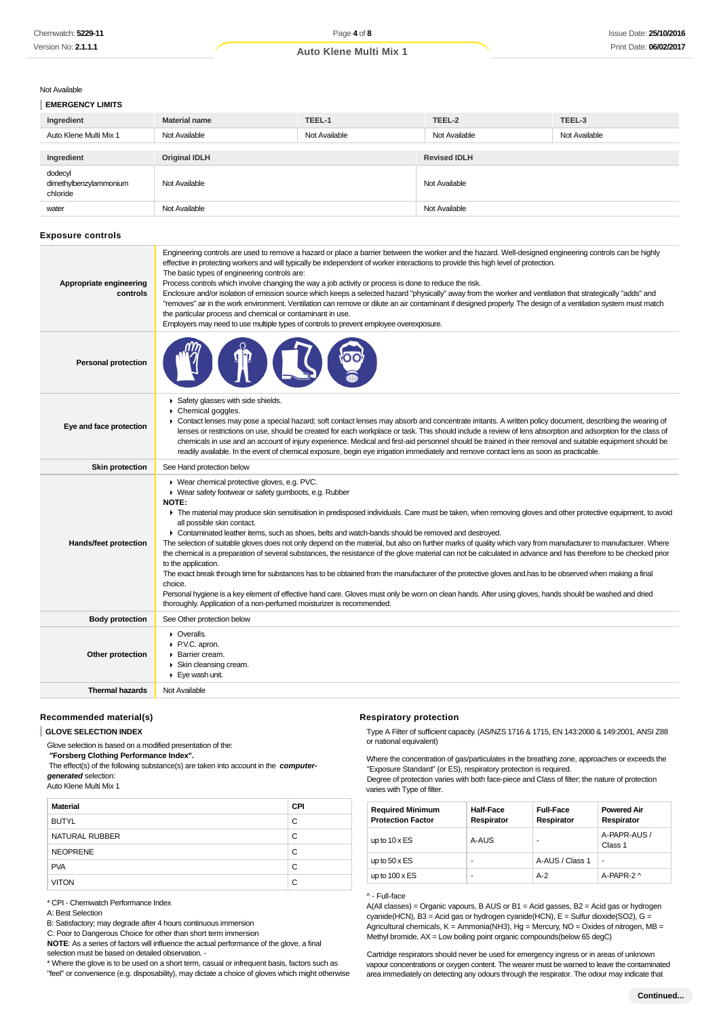#### Not Availab

**EMERGENCY LIMITS**

| ۱le |  |  |  |
|-----|--|--|--|
|     |  |  |  |

| ---------------------                         |                      |               |                     |               |
|-----------------------------------------------|----------------------|---------------|---------------------|---------------|
| Ingredient                                    | <b>Material name</b> | TEEL-1        | TEEL-2              | TEEL-3        |
| Auto Klene Multi Mix 1                        | Not Available        | Not Available | Not Available       | Not Available |
|                                               |                      |               |                     |               |
| Ingredient                                    | <b>Original IDLH</b> |               | <b>Revised IDLH</b> |               |
| dodecyl<br>dimethylbenzylammonium<br>chloride | Not Available        |               | Not Available       |               |
| water                                         | Not Available        |               | Not Available       |               |

#### **Exposure controls**

| Appropriate engineering<br>controls | Engineering controls are used to remove a hazard or place a barrier between the worker and the hazard. Well-designed engineering controls can be highly<br>effective in protecting workers and will typically be independent of worker interactions to provide this high level of protection.<br>The basic types of engineering controls are:<br>Process controls which involve changing the way a job activity or process is done to reduce the risk.<br>Enclosure and/or isolation of emission source which keeps a selected hazard "physically" away from the worker and ventilation that strategically "adds" and<br>"removes" air in the work environment. Ventilation can remove or dilute an air contaminant if designed properly. The design of a ventilation system must match<br>the particular process and chemical or contaminant in use.<br>Employers may need to use multiple types of controls to prevent employee overexposure.                                                                                                                                                                                                                                                   |
|-------------------------------------|---------------------------------------------------------------------------------------------------------------------------------------------------------------------------------------------------------------------------------------------------------------------------------------------------------------------------------------------------------------------------------------------------------------------------------------------------------------------------------------------------------------------------------------------------------------------------------------------------------------------------------------------------------------------------------------------------------------------------------------------------------------------------------------------------------------------------------------------------------------------------------------------------------------------------------------------------------------------------------------------------------------------------------------------------------------------------------------------------------------------------------------------------------------------------------------------------|
| <b>Personal protection</b>          |                                                                                                                                                                                                                                                                                                                                                                                                                                                                                                                                                                                                                                                                                                                                                                                                                                                                                                                                                                                                                                                                                                                                                                                                   |
| Eye and face protection             | Safety glasses with side shields.<br>Chemical goggles.<br>► Contact lenses may pose a special hazard; soft contact lenses may absorb and concentrate irritants. A written policy document, describing the wearing of<br>lenses or restrictions on use, should be created for each workplace or task. This should include a review of lens absorption and adsorption for the class of<br>chemicals in use and an account of injury experience. Medical and first-aid personnel should be trained in their removal and suitable equipment should be<br>readily available. In the event of chemical exposure, begin eye irrigation immediately and remove contact lens as soon as practicable.                                                                                                                                                                                                                                                                                                                                                                                                                                                                                                       |
| <b>Skin protection</b>              | See Hand protection below                                                                                                                                                                                                                                                                                                                                                                                                                                                                                                                                                                                                                                                                                                                                                                                                                                                                                                                                                                                                                                                                                                                                                                         |
| Hands/feet protection               | ▶ Wear chemical protective gloves, e.g. PVC.<br>▶ Wear safety footwear or safety gumboots, e.g. Rubber<br><b>NOTE:</b><br>The material may produce skin sensitisation in predisposed individuals. Care must be taken, when removing gloves and other protective equipment, to avoid<br>all possible skin contact.<br>► Contaminated leather items, such as shoes, belts and watch-bands should be removed and destroyed.<br>The selection of suitable gloves does not only depend on the material, but also on further marks of quality which vary from manufacturer to manufacturer. Where<br>the chemical is a preparation of several substances, the resistance of the glove material can not be calculated in advance and has therefore to be checked prior<br>to the application.<br>The exact break through time for substances has to be obtained from the manufacturer of the protective gloves and has to be observed when making a final<br>choice.<br>Personal hygiene is a key element of effective hand care. Gloves must only be worn on clean hands. After using gloves, hands should be washed and dried<br>thoroughly. Application of a non-perfumed moisturizer is recommended. |
| <b>Body protection</b>              | See Other protection below                                                                                                                                                                                                                                                                                                                                                                                                                                                                                                                                                                                                                                                                                                                                                                                                                                                                                                                                                                                                                                                                                                                                                                        |
| Other protection                    | $\triangleright$ Overalls.<br>P.V.C. apron.<br>Barrier cream.<br>Skin cleansing cream.<br>Eye wash unit.                                                                                                                                                                                                                                                                                                                                                                                                                                                                                                                                                                                                                                                                                                                                                                                                                                                                                                                                                                                                                                                                                          |
| <b>Thermal hazards</b>              | Not Available                                                                                                                                                                                                                                                                                                                                                                                                                                                                                                                                                                                                                                                                                                                                                                                                                                                                                                                                                                                                                                                                                                                                                                                     |
|                                     |                                                                                                                                                                                                                                                                                                                                                                                                                                                                                                                                                                                                                                                                                                                                                                                                                                                                                                                                                                                                                                                                                                                                                                                                   |

#### **Recommended material(s)**

## **GLOVE SELECTION INDEX**

Glove selection is based on a modified presentation of the:

 **"Forsberg Clothing Performance Index".** The effect(s) of the following substance(s) are taken into account in the **computergenerated** selection:

Auto Klene Multi Mix 1

| <b>Material</b> | <b>CPI</b> |
|-----------------|------------|
| <b>BUTYL</b>    | C          |
| NATURAL RUBBER  | C          |
| <b>NEOPRENE</b> | C          |
| <b>PVA</b>      | C          |
| <b>VITON</b>    | C          |

\* CPI - Chemwatch Performance Index

### A: Best Selection

B: Satisfactory; may degrade after 4 hours continuous immersion

C: Poor to Dangerous Choice for other than short term immersion

**NOTE**: As a series of factors will influence the actual performance of the glove, a final selection must be based on detailed observation. -

\* Where the glove is to be used on a short term, casual or infrequent basis, factors such as "feel" or convenience (e.g. disposability), may dictate a choice of gloves which might otherwise

#### **Respiratory protection**

Type A Filter of sufficient capacity. (AS/NZS 1716 & 1715, EN 143:2000 & 149:2001, ANSI Z88 or national equivalent)

Where the concentration of gas/particulates in the breathing zone, approaches or exceeds the "Exposure Standard" (or ES), respiratory protection is required.

Degree of protection varies with both face-piece and Class of filter; the nature of protection varies with Type of filter.

| <b>Required Minimum</b><br><b>Protection Factor</b> | <b>Half-Face</b><br>Respirator | <b>Full-Face</b><br>Respirator | <b>Powered Air</b><br>Respirator |
|-----------------------------------------------------|--------------------------------|--------------------------------|----------------------------------|
| up to $10 \times ES$                                | A-AUS                          | ۰                              | A-PAPR-AUS /<br>Class 1          |
| up to $50 \times ES$                                |                                | A-AUS / Class 1                | $\blacksquare$                   |
| up to $100 \times ES$                               | ۰                              | $A-2$                          | A-PAPR-2 ^                       |

#### ^ - Full-face

A(All classes) = Organic vapours, B AUS or B1 = Acid gasses, B2 = Acid gas or hydrogen  $cyanide(HCN)$ , B3 = Acid gas or hydrogen cyanide(HCN), E = Sulfur dioxide(SO2), G = Agricultural chemicals,  $K =$  Ammonia(NH3), Hg = Mercury, NO = Oxides of nitrogen, MB = Methyl bromide,  $AX = Low$  boiling point organic compounds (below 65 degC)

Cartridge respirators should never be used for emergency ingress or in areas of unknown vapour concentrations or oxygen content. The wearer must be warned to leave the contaminated area immediately on detecting any odours through the respirator. The odour may indicate that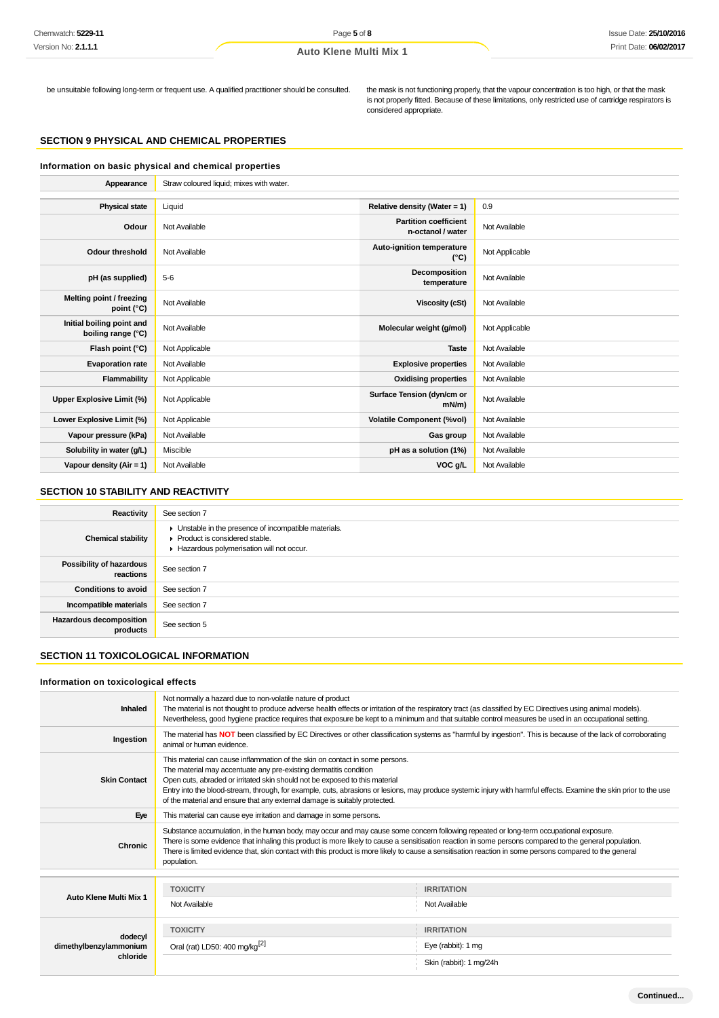be unsuitable following long-term or frequent use. A qualified practitioner should be consulted. the mask is not functioning properly, that the vapour concentration is too high, or that the mask is not properly fitted. Because of these limitations, only restricted use of cartridge respirators is considered appropriate.

## **SECTION 9 PHYSICAL AND CHEMICAL PROPERTIES**

**Information on basic physical and chemical properties Appearance** Straw coloured liquid; mixes with water. **Physical state** Liquid **Relative density (Water = 1)** 0.9 **Odour** Not Available **Partition coefficient Partition coefficient n-octanol / water** Not Available **Odour threshold** Not Available **Auto-ignition temperature Auto-ignition temperature** (°C) Not Applicable **pH** (as supplied)  $\begin{bmatrix} 5-6 \end{bmatrix}$  5-6 **Decomposition temposition**<br> **temperature** Not Available **Melting point / freezing point (°C)** Not Available **Viscosity (cSt)** Not Available **Initial boiling point and boiling range (°C)** Not Available **Molecular weight (g/mol)** Not Applicable **boiling range (°C)** Not Applicable **Flash point (°C)** Not Applicable **Taste** Not Available **Taste** Not Available **Evaporation rate** Not Available **Explosive properties** Not Available **Flammability** Not Applicable **Containers and Community** Not Available **Containers According Properties** Not Available Upper Explosive Limit (%) **Not Applicable <b>Surface Tension (dyn/cm or** Surface Tension (dyn/cm or mN/m) **Not Available Lower Explosive Limit (%)** Not Applicable **Volatile Component (%vol)** Not Available **Vapour pressure (kPa)** Not Available **Gas group** Not Available **Solubility in water (g/L)** Miscible **pH** as a solution (1%) Not Available **pH** as a solution (1%) Not Available **Vapour density (Air = 1)** Not Available **VOC g/L** Not Available **VOC g/L** Not Available

#### **SECTION 10 STABILITY AND REACTIVITY**

| Reactivity                                 | See section 7                                                                                                                                            |
|--------------------------------------------|----------------------------------------------------------------------------------------------------------------------------------------------------------|
| <b>Chemical stability</b>                  | • Unstable in the presence of incompatible materials.<br>$\blacktriangleright$ Product is considered stable.<br>Hazardous polymerisation will not occur. |
| Possibility of hazardous<br>reactions      | See section 7                                                                                                                                            |
| <b>Conditions to avoid</b>                 | See section 7                                                                                                                                            |
| Incompatible materials                     | See section 7                                                                                                                                            |
| <b>Hazardous decomposition</b><br>products | See section 5                                                                                                                                            |

## **SECTION 11 TOXICOLOGICAL INFORMATION**

#### **Information on toxicological effects**

| Inhaled                           | Not normally a hazard due to non-volatile nature of product<br>The material is not thought to produce adverse health effects or irritation of the respiratory tract (as classified by EC Directives using animal models).<br>Nevertheless, good hygiene practice requires that exposure be kept to a minimum and that suitable control measures be used in an occupational setting.                                                                                                  |                                         |  |  |
|-----------------------------------|--------------------------------------------------------------------------------------------------------------------------------------------------------------------------------------------------------------------------------------------------------------------------------------------------------------------------------------------------------------------------------------------------------------------------------------------------------------------------------------|-----------------------------------------|--|--|
| Ingestion                         | The material has NOT been classified by EC Directives or other classification systems as "harmful by ingestion". This is because of the lack of corroborating<br>animal or human evidence.                                                                                                                                                                                                                                                                                           |                                         |  |  |
| <b>Skin Contact</b>               | This material can cause inflammation of the skin on contact in some persons.<br>The material may accentuate any pre-existing dermatitis condition<br>Open cuts, abraded or irritated skin should not be exposed to this material<br>Entry into the blood-stream, through, for example, cuts, abrasions or lesions, may produce systemic injury with harmful effects. Examine the skin prior to the use<br>of the material and ensure that any external damage is suitably protected. |                                         |  |  |
| Eye                               | This material can cause eye irritation and damage in some persons.                                                                                                                                                                                                                                                                                                                                                                                                                   |                                         |  |  |
| <b>Chronic</b>                    | Substance accumulation, in the human body, may occur and may cause some concern following repeated or long-term occupational exposure.<br>There is some evidence that inhaling this product is more likely to cause a sensitisation reaction in some persons compared to the general population.<br>There is limited evidence that, skin contact with this product is more likely to cause a sensitisation reaction in some persons compared to the general<br>population.           |                                         |  |  |
|                                   |                                                                                                                                                                                                                                                                                                                                                                                                                                                                                      |                                         |  |  |
| Auto Klene Multi Mix 1            | <b>TOXICITY</b>                                                                                                                                                                                                                                                                                                                                                                                                                                                                      | <b>IRRITATION</b>                       |  |  |
|                                   | Not Available                                                                                                                                                                                                                                                                                                                                                                                                                                                                        | Not Available                           |  |  |
| dodecyl<br>dimethylbenzylammonium | <b>TOXICITY</b><br>Oral (rat) LD50: 400 mg/kg $^{[2]}$                                                                                                                                                                                                                                                                                                                                                                                                                               | <b>IRRITATION</b><br>Eye (rabbit): 1 mg |  |  |
| chloride                          |                                                                                                                                                                                                                                                                                                                                                                                                                                                                                      | Skin (rabbit): 1 mg/24h                 |  |  |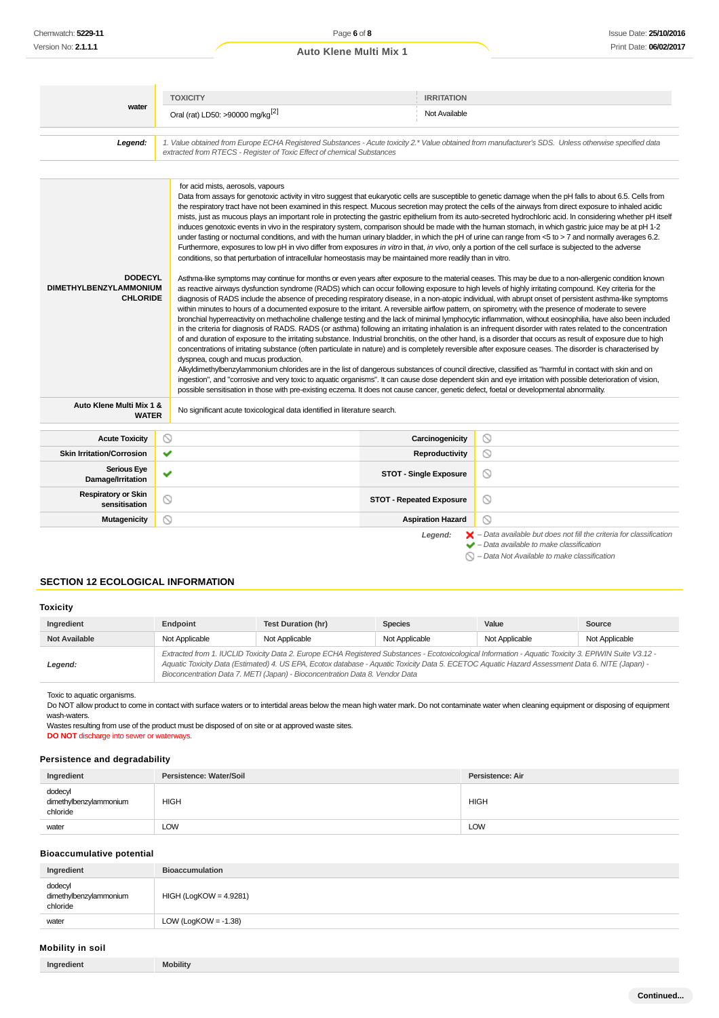|                                                                    | <b>TOXICITY</b>                                                                                                                                                                                                                                                                                                                                                                                                                                                                                                                                                                                                                                            | <b>IRRITATION</b>               |                                                                                                                                                                                                                                                                                                                                                                                                                                                                                                                                                                                                                                                                                                                                                                                                                                                                                                                                                                                                                                                                                                                                                                                                                                                                                                                                                                                                                                                                                                                                                                                                                                                                                                                                                                                                                                                                                                                                                                                                                                                                                                                                                                                                                                                                                     |
|--------------------------------------------------------------------|------------------------------------------------------------------------------------------------------------------------------------------------------------------------------------------------------------------------------------------------------------------------------------------------------------------------------------------------------------------------------------------------------------------------------------------------------------------------------------------------------------------------------------------------------------------------------------------------------------------------------------------------------------|---------------------------------|-------------------------------------------------------------------------------------------------------------------------------------------------------------------------------------------------------------------------------------------------------------------------------------------------------------------------------------------------------------------------------------------------------------------------------------------------------------------------------------------------------------------------------------------------------------------------------------------------------------------------------------------------------------------------------------------------------------------------------------------------------------------------------------------------------------------------------------------------------------------------------------------------------------------------------------------------------------------------------------------------------------------------------------------------------------------------------------------------------------------------------------------------------------------------------------------------------------------------------------------------------------------------------------------------------------------------------------------------------------------------------------------------------------------------------------------------------------------------------------------------------------------------------------------------------------------------------------------------------------------------------------------------------------------------------------------------------------------------------------------------------------------------------------------------------------------------------------------------------------------------------------------------------------------------------------------------------------------------------------------------------------------------------------------------------------------------------------------------------------------------------------------------------------------------------------------------------------------------------------------------------------------------------------|
| water                                                              |                                                                                                                                                                                                                                                                                                                                                                                                                                                                                                                                                                                                                                                            |                                 |                                                                                                                                                                                                                                                                                                                                                                                                                                                                                                                                                                                                                                                                                                                                                                                                                                                                                                                                                                                                                                                                                                                                                                                                                                                                                                                                                                                                                                                                                                                                                                                                                                                                                                                                                                                                                                                                                                                                                                                                                                                                                                                                                                                                                                                                                     |
|                                                                    | Oral (rat) LD50: >90000 mg/kg <sup>[2]</sup>                                                                                                                                                                                                                                                                                                                                                                                                                                                                                                                                                                                                               | Not Available                   |                                                                                                                                                                                                                                                                                                                                                                                                                                                                                                                                                                                                                                                                                                                                                                                                                                                                                                                                                                                                                                                                                                                                                                                                                                                                                                                                                                                                                                                                                                                                                                                                                                                                                                                                                                                                                                                                                                                                                                                                                                                                                                                                                                                                                                                                                     |
| Legend:                                                            | 1. Value obtained from Europe ECHA Registered Substances - Acute toxicity 2.* Value obtained from manufacturer's SDS. Unless otherwise specified data<br>extracted from RTECS - Register of Toxic Effect of chemical Substances                                                                                                                                                                                                                                                                                                                                                                                                                            |                                 |                                                                                                                                                                                                                                                                                                                                                                                                                                                                                                                                                                                                                                                                                                                                                                                                                                                                                                                                                                                                                                                                                                                                                                                                                                                                                                                                                                                                                                                                                                                                                                                                                                                                                                                                                                                                                                                                                                                                                                                                                                                                                                                                                                                                                                                                                     |
|                                                                    |                                                                                                                                                                                                                                                                                                                                                                                                                                                                                                                                                                                                                                                            |                                 |                                                                                                                                                                                                                                                                                                                                                                                                                                                                                                                                                                                                                                                                                                                                                                                                                                                                                                                                                                                                                                                                                                                                                                                                                                                                                                                                                                                                                                                                                                                                                                                                                                                                                                                                                                                                                                                                                                                                                                                                                                                                                                                                                                                                                                                                                     |
| <b>DODECYL</b><br><b>DIMETHYLBENZYLAMMONIUM</b><br><b>CHLORIDE</b> | for acid mists, aerosols, vapours<br>Furthermore, exposures to low pH in vivo differ from exposures in vitro in that, in vivo, only a portion of the cell surface is subjected to the adverse<br>conditions, so that perturbation of intracellular homeostasis may be maintained more readily than in vitro.<br>within minutes to hours of a documented exposure to the irritant. A reversible airflow pattern, on spirometry, with the presence of moderate to severe<br>dyspnea, cough and mucus production.<br>possible sensitisation in those with pre-existing eczema. It does not cause cancer, genetic defect, foetal or developmental abnormality. |                                 | Data from assays for genotoxic activity in vitro suggest that eukaryotic cells are susceptible to genetic damage when the pH falls to about 6.5. Cells from<br>the respiratory tract have not been examined in this respect. Mucous secretion may protect the cells of the airways from direct exposure to inhaled acidic<br>mists, just as mucous plays an important role in protecting the gastric epithelium from its auto-secreted hydrochloric acid. In considering whether pH itself<br>induces genotoxic events in vivo in the respiratory system, comparison should be made with the human stomach, in which gastric juice may be at pH 1-2<br>under fasting or nocturnal conditions, and with the human urinary bladder, in which the pH of urine can range from <5 to > 7 and normally averages 6.2.<br>Asthma-like symptoms may continue for months or even years after exposure to the material ceases. This may be due to a non-allergenic condition known<br>as reactive airways dysfunction syndrome (RADS) which can occur following exposure to high levels of highly irritating compound. Key criteria for the<br>diagnosis of RADS include the absence of preceding respiratory disease, in a non-atopic individual, with abrupt onset of persistent asthma-like symptoms<br>bronchial hyperreactivity on methacholine challenge testing and the lack of minimal lymphocytic inflammation, without eosinophilia, have also been included<br>in the criteria for diagnosis of RADS. RADS (or asthma) following an irritating inhalation is an infrequent disorder with rates related to the concentration<br>of and duration of exposure to the irritating substance. Industrial bronchitis, on the other hand, is a disorder that occurs as result of exposure due to high<br>concentrations of irritating substance (often particulate in nature) and is completely reversible after exposure ceases. The disorder is characterised by<br>Alkyldimethylbenzylammonium chlorides are in the list of dangerous substances of council directive, classified as "harmful in contact with skin and on<br>ingestion", and "corrosive and very toxic to aquatic organisms". It can cause dose dependent skin and eye irritation with possible deterioration of vision, |
| Auto Klene Multi Mix 1 &<br><b>WATER</b>                           | No significant acute toxicological data identified in literature search.                                                                                                                                                                                                                                                                                                                                                                                                                                                                                                                                                                                   |                                 |                                                                                                                                                                                                                                                                                                                                                                                                                                                                                                                                                                                                                                                                                                                                                                                                                                                                                                                                                                                                                                                                                                                                                                                                                                                                                                                                                                                                                                                                                                                                                                                                                                                                                                                                                                                                                                                                                                                                                                                                                                                                                                                                                                                                                                                                                     |
| <b>Acute Toxicity</b>                                              | ◎                                                                                                                                                                                                                                                                                                                                                                                                                                                                                                                                                                                                                                                          | Carcinogenicity                 | O                                                                                                                                                                                                                                                                                                                                                                                                                                                                                                                                                                                                                                                                                                                                                                                                                                                                                                                                                                                                                                                                                                                                                                                                                                                                                                                                                                                                                                                                                                                                                                                                                                                                                                                                                                                                                                                                                                                                                                                                                                                                                                                                                                                                                                                                                   |
| <b>Skin Irritation/Corrosion</b>                                   | ✔                                                                                                                                                                                                                                                                                                                                                                                                                                                                                                                                                                                                                                                          | Reproductivity                  | ◎                                                                                                                                                                                                                                                                                                                                                                                                                                                                                                                                                                                                                                                                                                                                                                                                                                                                                                                                                                                                                                                                                                                                                                                                                                                                                                                                                                                                                                                                                                                                                                                                                                                                                                                                                                                                                                                                                                                                                                                                                                                                                                                                                                                                                                                                                   |
| <b>Serious Eye</b><br>Damage/Irritation                            | ✔                                                                                                                                                                                                                                                                                                                                                                                                                                                                                                                                                                                                                                                          | <b>STOT - Single Exposure</b>   | ◎                                                                                                                                                                                                                                                                                                                                                                                                                                                                                                                                                                                                                                                                                                                                                                                                                                                                                                                                                                                                                                                                                                                                                                                                                                                                                                                                                                                                                                                                                                                                                                                                                                                                                                                                                                                                                                                                                                                                                                                                                                                                                                                                                                                                                                                                                   |
| <b>Respiratory or Skin</b><br>sensitisation                        | ∾                                                                                                                                                                                                                                                                                                                                                                                                                                                                                                                                                                                                                                                          | <b>STOT - Repeated Exposure</b> | ◎                                                                                                                                                                                                                                                                                                                                                                                                                                                                                                                                                                                                                                                                                                                                                                                                                                                                                                                                                                                                                                                                                                                                                                                                                                                                                                                                                                                                                                                                                                                                                                                                                                                                                                                                                                                                                                                                                                                                                                                                                                                                                                                                                                                                                                                                                   |
| <b>Mutagenicity</b>                                                | ⊚                                                                                                                                                                                                                                                                                                                                                                                                                                                                                                                                                                                                                                                          | <b>Aspiration Hazard</b>        | ⊚                                                                                                                                                                                                                                                                                                                                                                                                                                                                                                                                                                                                                                                                                                                                                                                                                                                                                                                                                                                                                                                                                                                                                                                                                                                                                                                                                                                                                                                                                                                                                                                                                                                                                                                                                                                                                                                                                                                                                                                                                                                                                                                                                                                                                                                                                   |
|                                                                    |                                                                                                                                                                                                                                                                                                                                                                                                                                                                                                                                                                                                                                                            | Legend:                         | $\blacktriangleright$ - Data available but does not fill the criteria for classification<br>Data available to make algooification                                                                                                                                                                                                                                                                                                                                                                                                                                                                                                                                                                                                                                                                                                                                                                                                                                                                                                                                                                                                                                                                                                                                                                                                                                                                                                                                                                                                                                                                                                                                                                                                                                                                                                                                                                                                                                                                                                                                                                                                                                                                                                                                                   |

– Data available to make classification

 $\bigcirc$  – Data Not Available to make classification

## **SECTION 12 ECOLOGICAL INFORMATION**

#### **Toxicity**

| Ingredient           | Endpoint       | Test Duration (hr)                                                                                                                                                                                                                                                                                                                                                                       | <b>Species</b> | Value          | Source         |
|----------------------|----------------|------------------------------------------------------------------------------------------------------------------------------------------------------------------------------------------------------------------------------------------------------------------------------------------------------------------------------------------------------------------------------------------|----------------|----------------|----------------|
| <b>Not Available</b> | Not Applicable | Not Applicable                                                                                                                                                                                                                                                                                                                                                                           | Not Applicable | Not Applicable | Not Applicable |
| Legend:              |                | Extracted from 1. IUCLID Toxicity Data 2. Europe ECHA Registered Substances - Ecotoxicological Information - Aquatic Toxicity 3. EPIWIN Suite V3.12 -<br>Aquatic Toxicity Data (Estimated) 4. US EPA, Ecotox database - Aquatic Toxicity Data 5. ECETOC Aquatic Hazard Assessment Data 6. NITE (Japan) -<br>Bioconcentration Data 7. METI (Japan) - Bioconcentration Data 8. Vendor Data |                |                |                |

Toxic to aquatic organisms.

Do NOT allow product to come in contact with surface waters or to intertidal areas below the mean high water mark. Do not contaminate water when cleaning equipment or disposing of equipment wash-waters.

Wastes resulting from use of the product must be disposed of on site or at approved waste sites.

**DO NOT** discharge into sewer or waterways.

## **Persistence and degradability**

| Ingredient                                    | Persistence: Water/Soil | Persistence: Air |
|-----------------------------------------------|-------------------------|------------------|
| dodecyl<br>dimethylbenzylammonium<br>chloride | <b>HIGH</b>             | <b>HIGH</b>      |
| water                                         | LOW                     | LOW              |

## **Bioaccumulative potential**

| Ingredient                                    | <b>Bioaccumulation</b>   |
|-----------------------------------------------|--------------------------|
| dodecyl<br>dimethylbenzylammonium<br>chloride | $HIGH (LogKOW = 4.9281)$ |
| water                                         | LOW (LogKOW = $-1.38$ )  |

## **Mobility in soil**

| Ingredient | <b>Mobility</b> |
|------------|-----------------|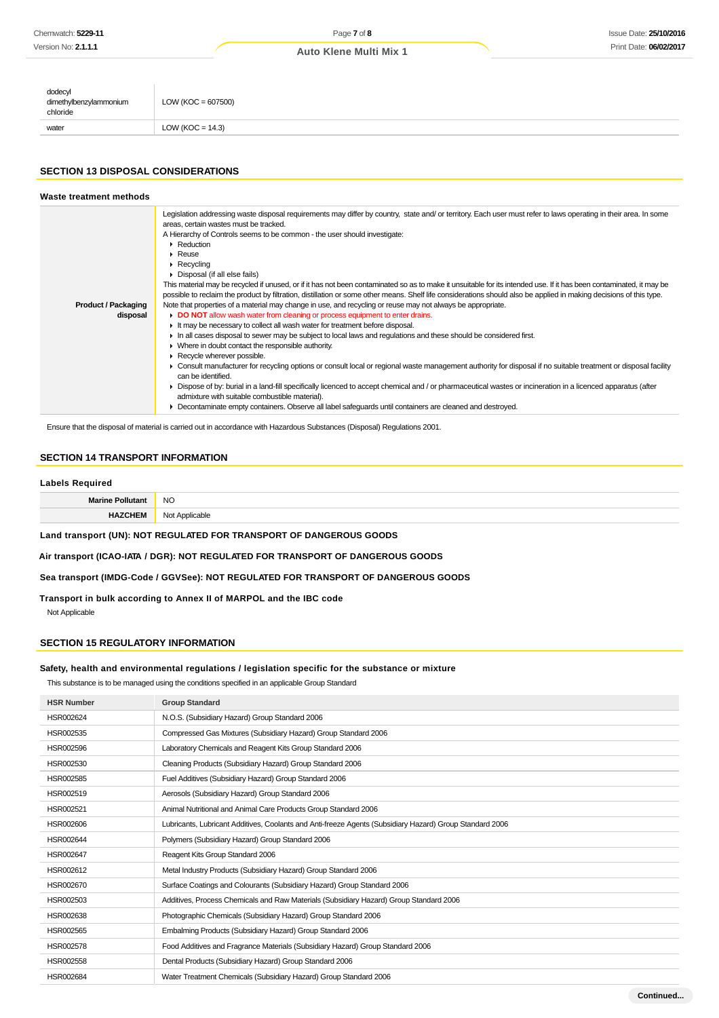## Page **7** of **8 Auto Klene Multi Mix 1**

| dodecyl<br>dimethylbenzylammonium<br>chloride | $LOW (KOC = 607500)$ |
|-----------------------------------------------|----------------------|
| water                                         | LOW (KOC = $14.3$ )  |

### **SECTION 13 DISPOSAL CONSIDERATIONS**

| Waste treatment methods                |                                                                                                                                                                                                                                                                                                                                                                                                                                                                                                                                                                                                                                                                                                                                                                                                                                                                                                                                                                                                                                                                                                                                                                                                                                                                                                                                                                                                                                                                                                                                                                                                                                                                                                                                                                                      |
|----------------------------------------|--------------------------------------------------------------------------------------------------------------------------------------------------------------------------------------------------------------------------------------------------------------------------------------------------------------------------------------------------------------------------------------------------------------------------------------------------------------------------------------------------------------------------------------------------------------------------------------------------------------------------------------------------------------------------------------------------------------------------------------------------------------------------------------------------------------------------------------------------------------------------------------------------------------------------------------------------------------------------------------------------------------------------------------------------------------------------------------------------------------------------------------------------------------------------------------------------------------------------------------------------------------------------------------------------------------------------------------------------------------------------------------------------------------------------------------------------------------------------------------------------------------------------------------------------------------------------------------------------------------------------------------------------------------------------------------------------------------------------------------------------------------------------------------|
| <b>Product / Packaging</b><br>disposal | Legislation addressing waste disposal requirements may differ by country, state and/or territory. Each user must refer to laws operating in their area. In some<br>areas, certain wastes must be tracked.<br>A Hierarchy of Controls seems to be common - the user should investigate:<br>$\blacktriangleright$ Reduction<br>$\triangleright$ Reuse<br>$\triangleright$ Recycling<br>Disposal (if all else fails)<br>This material may be recycled if unused, or if it has not been contaminated so as to make it unsuitable for its intended use. If it has been contaminated, it may be<br>possible to reclaim the product by filtration, distillation or some other means. Shelf life considerations should also be applied in making decisions of this type.<br>Note that properties of a material may change in use, and recycling or reuse may not always be appropriate.<br>DO NOT allow wash water from cleaning or process equipment to enter drains.<br>If the may be necessary to collect all wash water for treatment before disposal.<br>In all cases disposal to sewer may be subject to local laws and regulations and these should be considered first.<br>• Where in doubt contact the responsible authority.<br>Recycle wherever possible.<br>• Consult manufacturer for recycling options or consult local or regional waste management authority for disposal if no suitable treatment or disposal facility<br>can be identified.<br>• Dispose of by: burial in a land-fill specifically licenced to accept chemical and / or pharmaceutical wastes or incineration in a licenced apparatus (after<br>admixture with suitable combustible material).<br>Decontaminate empty containers. Observe all label safeguards until containers are cleaned and destroyed. |

Ensure that the disposal of material is carried out in accordance with Hazardous Substances (Disposal) Regulations 2001.

## **SECTION 14 TRANSPORT INFORMATION**

#### **Labels Required**

| NC<br>$\sim$ |
|--------------|
| .            |

**Land transport (UN): NOT REGULATED FOR TRANSPORT OF DANGEROUS GOODS**

**Air transport (ICAO-IATA / DGR): NOT REGULATED FOR TRANSPORT OF DANGEROUS GOODS**

**Sea transport (IMDG-Code / GGVSee): NOT REGULATED FOR TRANSPORT OF DANGEROUS GOODS**

**Transport in bulk according to Annex II of MARPOL and the IBC code**

Not Applicable

## **SECTION 15 REGULATORY INFORMATION**

### **Safety, health and environmental regulations / legislation specific for the substance or mixture**

This substance is to be managed using the conditions specified in an applicable Group Standard

| <b>HSR Number</b> | <b>Group Standard</b>                                                                                    |
|-------------------|----------------------------------------------------------------------------------------------------------|
| HSR002624         | N.O.S. (Subsidiary Hazard) Group Standard 2006                                                           |
| HSR002535         | Compressed Gas Mixtures (Subsidiary Hazard) Group Standard 2006                                          |
| HSR002596         | Laboratory Chemicals and Reagent Kits Group Standard 2006                                                |
| HSR002530         | Cleaning Products (Subsidiary Hazard) Group Standard 2006                                                |
| HSR002585         | Fuel Additives (Subsidiary Hazard) Group Standard 2006                                                   |
| HSR002519         | Aerosols (Subsidiary Hazard) Group Standard 2006                                                         |
| HSR002521         | Animal Nutritional and Animal Care Products Group Standard 2006                                          |
| HSR002606         | Lubricants, Lubricant Additives, Coolants and Anti-freeze Agents (Subsidiary Hazard) Group Standard 2006 |
| HSR002644         | Polymers (Subsidiary Hazard) Group Standard 2006                                                         |
| HSR002647         | Reagent Kits Group Standard 2006                                                                         |
| HSR002612         | Metal Industry Products (Subsidiary Hazard) Group Standard 2006                                          |
| HSR002670         | Surface Coatings and Colourants (Subsidiary Hazard) Group Standard 2006                                  |
| HSR002503         | Additives, Process Chemicals and Raw Materials (Subsidiary Hazard) Group Standard 2006                   |
| HSR002638         | Photographic Chemicals (Subsidiary Hazard) Group Standard 2006                                           |
| HSR002565         | Embalming Products (Subsidiary Hazard) Group Standard 2006                                               |
| HSR002578         | Food Additives and Fragrance Materials (Subsidiary Hazard) Group Standard 2006                           |
| HSR002558         | Dental Products (Subsidiary Hazard) Group Standard 2006                                                  |
| HSR002684         | Water Treatment Chemicals (Subsidiary Hazard) Group Standard 2006                                        |